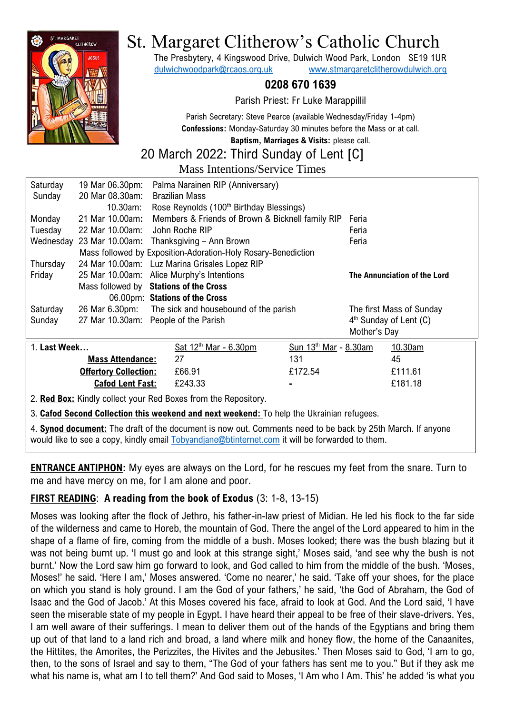

# St. Margaret Clitherow's Catholic Church

The Presbytery, 4 Kingswood Drive, Dulwich Wood Park, London SE19 1UR [dulwichwoodpark@rcaos.org.uk](mailto:dulwichwoodpark@rcaos.org.uk) [www.stmargaretclitherowdulwich.org](http://www.stmargaretclitherowdulwich.org/)

#### **0208 670 1639**

Parish Priest: Fr Luke Marappillil

Parish Secretary: Steve Pearce (available Wednesday/Friday 1-4pm) **Confessions:** Monday-Saturday 30 minutes before the Mass or at call.

**Baptism, Marriages & Visits:** please call.

## 20 March 2022: Third Sunday of Lent [C]

Mass Intentions/Service Times

| Saturday<br>19 Mar 06.30pm:                                                               |                                        |                                                               | Palma Narainen RIP (Anniversary)                     |                         |                          |                              |  |  |
|-------------------------------------------------------------------------------------------|----------------------------------------|---------------------------------------------------------------|------------------------------------------------------|-------------------------|--------------------------|------------------------------|--|--|
| Sunday                                                                                    | 20 Mar 08.30am:                        |                                                               | <b>Brazilian Mass</b>                                |                         |                          |                              |  |  |
|                                                                                           | 10.30am:                               |                                                               | Rose Reynolds (100 <sup>th</sup> Birthday Blessings) |                         |                          |                              |  |  |
| Monday                                                                                    | 21 Mar 10.00am:                        |                                                               | Members & Friends of Brown & Bicknell family RIP     |                         | Feria                    |                              |  |  |
| Tuesday                                                                                   | 22 Mar 10.00am:                        | John Roche RIP                                                |                                                      |                         | Feria                    |                              |  |  |
| Wednesday                                                                                 |                                        | 23 Mar 10.00am: Thanksgiving - Ann Brown                      |                                                      |                         | Feria                    |                              |  |  |
|                                                                                           |                                        | Mass followed by Exposition-Adoration-Holy Rosary-Benediction |                                                      |                         |                          |                              |  |  |
| Thursday                                                                                  |                                        |                                                               | 24 Mar 10.00am: Luz Marina Grisales Lopez RIP        |                         |                          |                              |  |  |
| Friday                                                                                    |                                        |                                                               | 25 Mar 10.00am: Alice Murphy's Intentions            |                         |                          | The Annunciation of the Lord |  |  |
|                                                                                           | Mass followed by Stations of the Cross |                                                               |                                                      |                         |                          |                              |  |  |
| 06.00pm: Stations of the Cross                                                            |                                        |                                                               |                                                      |                         |                          |                              |  |  |
| Saturday                                                                                  |                                        |                                                               | 26 Mar 6.30pm: The sick and housebound of the parish |                         | The first Mass of Sunday |                              |  |  |
| Sunday                                                                                    |                                        |                                                               | 27 Mar 10.30am: People of the Parish                 |                         |                          | $4th$ Sunday of Lent (C)     |  |  |
|                                                                                           |                                        |                                                               |                                                      |                         | Mother's Day             |                              |  |  |
| 1. Last Week                                                                              |                                        |                                                               | Sat 12 <sup>th</sup> Mar - 6.30pm                    | Sun $13th$ Mar - 8.30am |                          | 10.30am                      |  |  |
|                                                                                           | <b>Mass Attendance:</b>                |                                                               | 27                                                   | 131                     |                          | 45                           |  |  |
|                                                                                           | <b>Offertory Collection:</b>           |                                                               | £66.91                                               | £172.54                 |                          | £111.61                      |  |  |
|                                                                                           | <b>Cafod Lent Fast:</b>                |                                                               | £243.33                                              |                         |                          | £181.18                      |  |  |
| 2. <b>Red Box:</b> Kindly collect your Red Boxes from the Repository.                     |                                        |                                                               |                                                      |                         |                          |                              |  |  |
| 3. Cafod Second Collection this weekend and next weekend: To help the Ukrainian refugees. |                                        |                                                               |                                                      |                         |                          |                              |  |  |

4. **Synod document:** The draft of the document is now out. Comments need to be back by 25th March. If anyone would like to see a copy, kindly email [Tobyandjane@btinternet.com](mailto:Tobyandjane@btinternet.com) it will be forwarded to them.

**ENTRANCE ANTIPHON:** My eyes are always on the Lord, for he rescues my feet from the snare. Turn to me and have mercy on me, for I am alone and poor.

#### **FIRST READING**: **A reading from the book of Exodus** (3: 1-8, 13-15)

Moses was looking after the flock of Jethro, his father-in-law priest of Midian. He led his flock to the far side of the wilderness and came to Horeb, the mountain of God. There the angel of the Lord appeared to him in the shape of a flame of fire, coming from the middle of a bush. Moses looked; there was the bush blazing but it was not being burnt up. 'I must go and look at this strange sight,' Moses said, 'and see why the bush is not burnt.' Now the Lord saw him go forward to look, and God called to him from the middle of the bush. 'Moses, Moses!' he said. 'Here I am,' Moses answered. 'Come no nearer,' he said. 'Take off your shoes, for the place on which you stand is holy ground. I am the God of your fathers,' he said, 'the God of Abraham, the God of Isaac and the God of Jacob.' At this Moses covered his face, afraid to look at God. And the Lord said, 'I have seen the miserable state of my people in Egypt. I have heard their appeal to be free of their slave-drivers. Yes, I am well aware of their sufferings. I mean to deliver them out of the hands of the Egyptians and bring them up out of that land to a land rich and broad, a land where milk and honey flow, the home of the Canaanites, the Hittites, the Amorites, the Perizzites, the Hivites and the Jebusites.' Then Moses said to God, 'I am to go, then, to the sons of Israel and say to them, "The God of your fathers has sent me to you." But if they ask me what his name is, what am I to tell them?' And God said to Moses, 'I Am who I Am. This' he added 'is what you